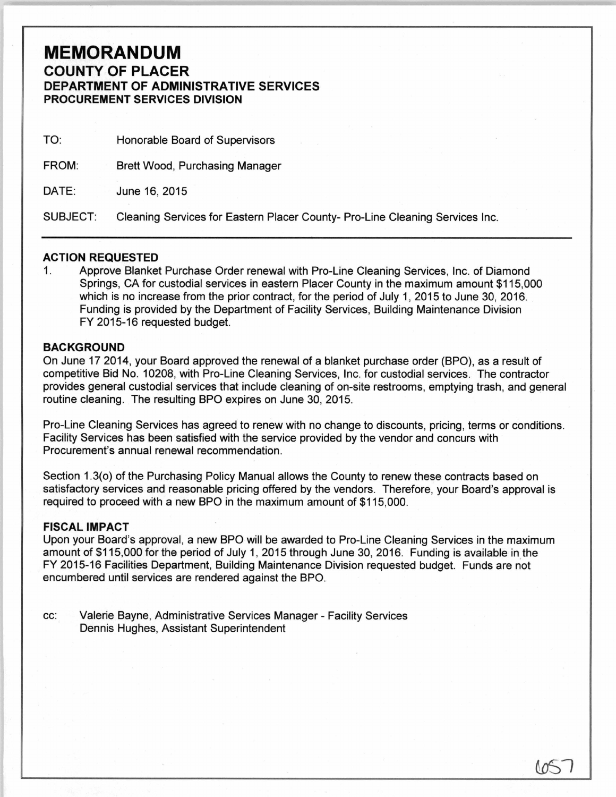## **MEMORANDUM COUNTY OF PLACER DEPARTMENT OF ADMINISTRATIVE SERVICES PROCUREMENT SERVICES DIVISION**

| TO:             | Honorable Board of Supervisors                                               |
|-----------------|------------------------------------------------------------------------------|
| FROM:           | <b>Brett Wood, Purchasing Manager</b>                                        |
| DATE:           | June 16, 2015                                                                |
| <b>SUBJECT:</b> | Cleaning Services for Eastern Placer County- Pro-Line Cleaning Services Inc. |

## **ACTION REQUESTED**

1. Approve Blanket Purchase Order renewal with Pro-Line Cleaning Services, Inc. of Diamond Springs, CA for custodial services in eastern Placer County in the maximum amount \$115,000 which is no increase from the prior contract, for the period of July 1, 2015 to June 30, 2016. Funding is provided by the Department of Facility Services, Building Maintenance Division FY 2015-16 requested budget.

## **BACKGROUND**

On June 17 2014, your Board approved the renewal of a blanket purchase order (BPO), as a result of competitive Bid No. 10208, with Pro-Line Cleaning Services, Inc. for custodial services. The contractor provides general custodial services that include cleaning of on-site restrooms, emptying trash, and general routine cleaning. The resulting BPO expires on June 30, 2015.

Pro-Line Cleaning Services has agreed to renew with no change to discounts, pricing, terms or conditions. Facility Services has been satisfied with the service provided by the vendor and concurs with Procurement's annual renewal recommendation.

Section 1.3(o) of the Purchasing Policy Manual allows the County to renew these contracts based on satisfactory services and reasonable pricing offered by the vendors. Therefore, your Board's approval is required to proceed with a new BPO in the maximum amount of \$115,000.

## **FISCAL IMPACT**

Upon your Board's approval, a new BPO will be awarded to Pro-Line Cleaning Services in the maximum amount of \$115,000 for the period of July 1, 2015 through June 30, 2016. Funding is available in the FY 2015-16 Facilities Department, Building Maintenance Division requested budget. Funds are not encumbered until services are rendered against the BPO.

cc: Valerie Bayne, Administrative Services Manager- Facility Services Dennis Hughes, Assistant Superintendent